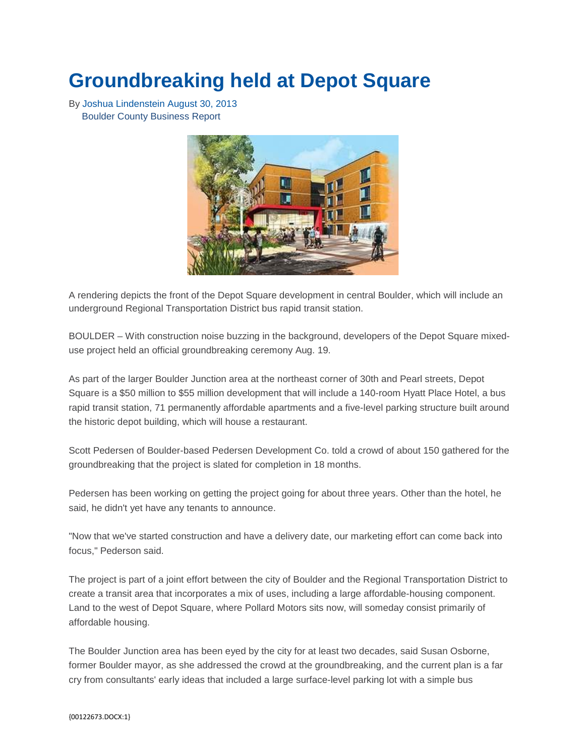## **Groundbreaking held at Depot Square**

By [Joshua Lindenstein](mailto:JLindenstein@bcbr.com) August 30, 2013 Boulder County Business Report



A rendering depicts the front of the Depot Square development in central Boulder, which will include an underground Regional Transportation District bus rapid transit station.

BOULDER – With construction noise buzzing in the background, developers of the Depot Square mixeduse project held an official groundbreaking ceremony Aug. 19.

As part of the larger Boulder Junction area at the northeast corner of 30th and Pearl streets, Depot Square is a \$50 million to \$55 million development that will include a 140-room Hyatt Place Hotel, a bus rapid transit station, 71 permanently affordable apartments and a five-level parking structure built around the historic depot building, which will house a restaurant.

Scott Pedersen of Boulder-based Pedersen Development Co. told a crowd of about 150 gathered for the groundbreaking that the project is slated for completion in 18 months.

Pedersen has been working on getting the project going for about three years. Other than the hotel, he said, he didn't yet have any tenants to announce.

"Now that we've started construction and have a delivery date, our marketing effort can come back into focus," Pederson said.

The project is part of a joint effort between the city of Boulder and the Regional Transportation District to create a transit area that incorporates a mix of uses, including a large affordable-housing component. Land to the west of Depot Square, where Pollard Motors sits now, will someday consist primarily of affordable housing.

The Boulder Junction area has been eyed by the city for at least two decades, said Susan Osborne, former Boulder mayor, as she addressed the crowd at the groundbreaking, and the current plan is a far cry from consultants' early ideas that included a large surface-level parking lot with a simple bus